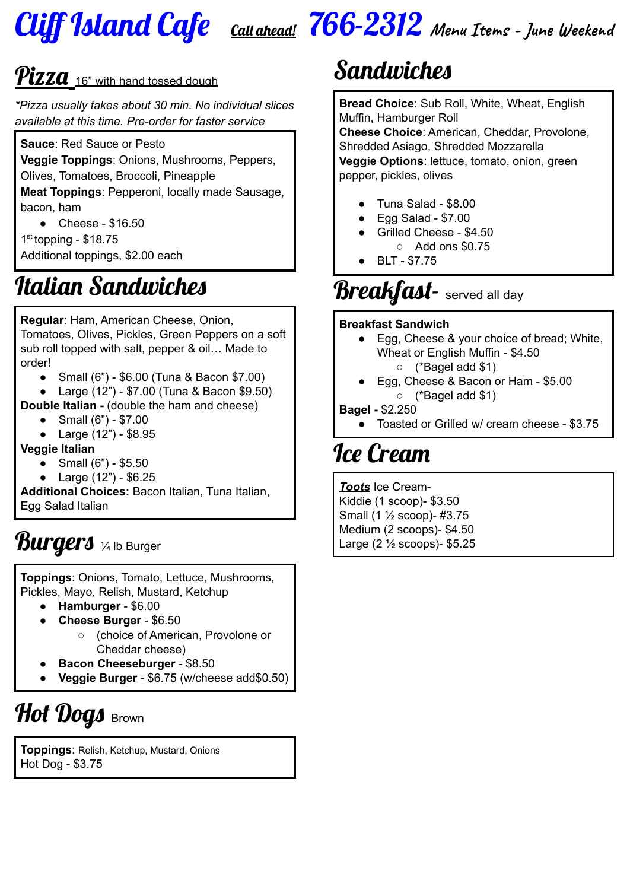

## Cliff Island Cafe Call ahead! 766-2312 **Menu Items - June Weekend**

### $\boldsymbol{P}$ izza  $_{16"$  with hand tossed dough

*\*Pizza usually takes about 30 min. No individual slices available at this time. Pre-order for faster service*

**Sauce**: Red Sauce or Pesto

**Veggie Toppings**: Onions, Mushrooms, Peppers,

Olives, Tomatoes, Broccoli, Pineapple

**Meat Toppings**: Pepperoni, locally made Sausage, bacon, ham

● Cheese - \$16.50

1 st topping - \$18.75

Additional toppings, \$2.00 each

## Italian Sandwiches

**Regular**: Ham, American Cheese, Onion, Tomatoes, Olives, Pickles, Green Peppers on a soft sub roll topped with salt, pepper & oil… Made to order!

- Small (6") \$6.00 (Tuna & Bacon \$7.00)
- Large (12") \$7.00 (Tuna & Bacon \$9.50)
- **Double Italian -** (double the ham and cheese)
	- Small (6") \$7.00
	- Large (12") \$8.95

#### **Veggie Italian**

- Small  $(6") $5.50$
- Large (12") \$6.25

**Additional Choices:** Bacon Italian, Tuna Italian, Egg Salad Italian

### Burgers 1/4 lb Burger

**Toppings**: Onions, Tomato, Lettuce, Mushrooms, Pickles, Mayo, Relish, Mustard, Ketchup

- **Hamburger** \$6.00
- **Cheese Burger** \$6.50
	- (choice of American, Provolone or Cheddar cheese)
- **Bacon Cheeseburger** \$8.50
- **Veggie Burger** \$6.75 (w/cheese add\$0.50)

# Hot Dogs Brown

**Toppings**: Relish, Ketchup, Mustard, Onions Hot Dog - \$3.75

# Sandwiches

**Bread Choice**: Sub Roll, White, Wheat, English Muffin, Hamburger Roll **Cheese Choice**: American, Cheddar, Provolone,

Shredded Asiago, Shredded Mozzarella **Veggie Options**: lettuce, tomato, onion, green pepper, pickles, olives

- Tuna Salad \$8.00
- Egg Salad \$7.00
- Grilled Cheese \$4.50  $\circ$  Add ons \$0.75
- BLT \$7.75

## **Breakfast-** served all day

#### **Breakfast Sandwich**

- Egg, Cheese & your choice of bread; White, Wheat or English Muffin - \$4.50 ○ (\*Bagel add \$1)
- Egg, Cheese & Bacon or Ham \$5.00 ○ (\*Bagel add \$1)

#### **Bagel -** \$2.250

● Toasted or Grilled w/ cream cheese - \$3.75

## Ice Cream

*Toots* Ice Cream-Kiddie (1 scoop)- \$3.50 Small (1 ½ scoop)- #3.75 Medium (2 scoops)- \$4.50 Large (2 ½ scoops)- \$5.25